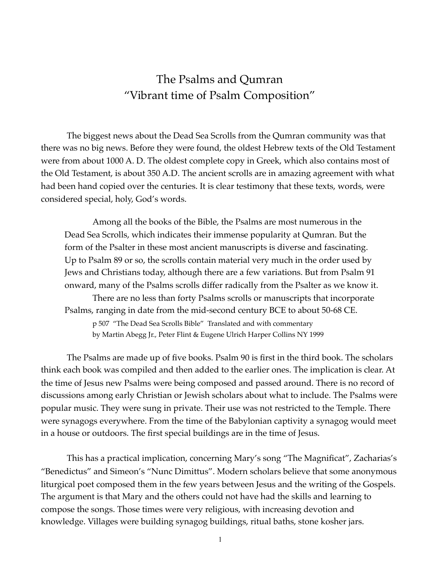## The Psalms and Qumran "Vibrant time of Psalm Composition"

The biggest news about the Dead Sea Scrolls from the Qumran community was that there was no big news. Before they were found, the oldest Hebrew texts of the Old Testament were from about 1000 A. D. The oldest complete copy in Greek, which also contains most of the Old Testament, is about 350 A.D. The ancient scrolls are in amazing agreement with what had been hand copied over the centuries. It is clear testimony that these texts, words, were considered special, holy, God's words.

 Among all the books of the Bible, the Psalms are most numerous in the Dead Sea Scrolls, which indicates their immense popularity at Qumran. But the form of the Psalter in these most ancient manuscripts is diverse and fascinating. Up to Psalm 89 or so, the scrolls contain material very much in the order used by Jews and Christians today, although there are a few variations. But from Psalm 91 onward, many of the Psalms scrolls differ radically from the Psalter as we know it. There are no less than forty Psalms scrolls or manuscripts that incorporate Psalms, ranging in date from the mid-second century BCE to about 50-68 CE. p 507 "The Dead Sea Scrolls Bible" Translated and with commentary

by Martin Abegg Jr., Peter Flint & Eugene Ulrich Harper Collins NY 1999

The Psalms are made up of five books. Psalm 90 is first in the third book. The scholars think each book was compiled and then added to the earlier ones. The implication is clear. At the time of Jesus new Psalms were being composed and passed around. There is no record of discussions among early Christian or Jewish scholars about what to include. The Psalms were popular music. They were sung in private. Their use was not restricted to the Temple. There were synagogs everywhere. From the time of the Babylonian captivity a synagog would meet in a house or outdoors. The first special buildings are in the time of Jesus.

This has a practical implication, concerning Mary's song "The Magnificat", Zacharias's "Benedictus" and Simeon's "Nunc Dimittus". Modern scholars believe that some anonymous liturgical poet composed them in the few years between Jesus and the writing of the Gospels. The argument is that Mary and the others could not have had the skills and learning to compose the songs. Those times were very religious, with increasing devotion and knowledge. Villages were building synagog buildings, ritual baths, stone kosher jars.